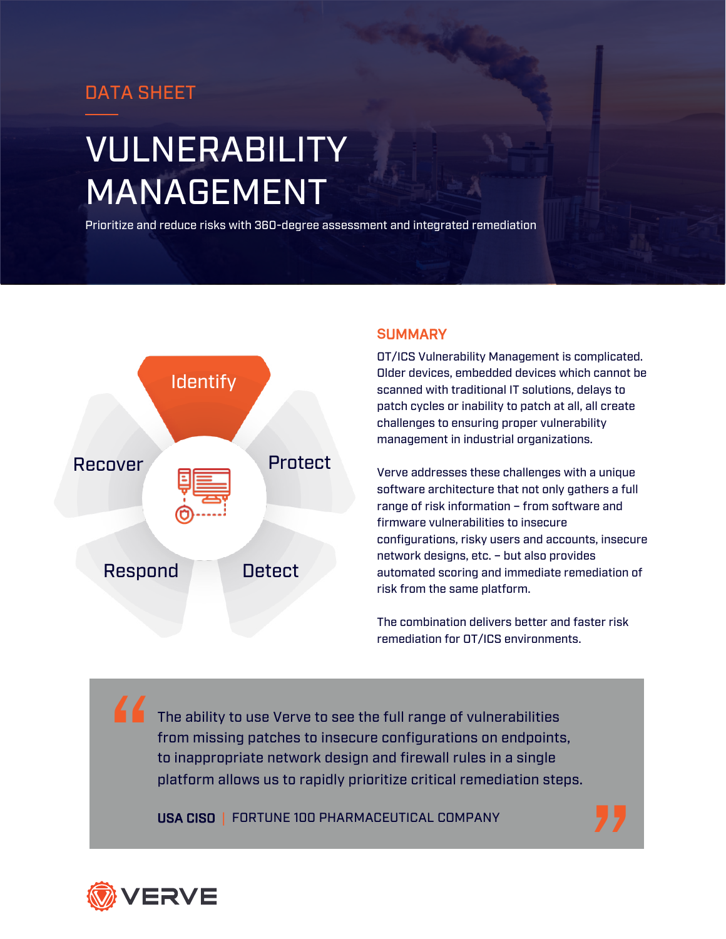### DATA SHEET

# VULNERABILITY MANAGEMENT

Prioritize and reduce risks with 360-degree assessment and integrated remediation



#### **S**UMMARY

OT/ICS Vulnerability Management is complicated. Older devices, embedded devices which cannot be scanned with traditional IT solutions, delays to patch cycles or inability to patch at all, all create challenges to ensuring proper vulnerability management in industrial organizations.

Verve addresses these challenges with a unique software architecture that not only gathers a full range of risk information – from software and firmware vulnerabilities to insecure configurations, risky users and accounts, insecure network designs, etc. – but also provides automated scoring and immediate remediation of risk from the same platform.

The combination delivers better and faster risk remediation for OT/ICS environments.

The ability to use Verve to see the full range of vulnerabilities from missing patches to insecure configurations on endpoints, to inappropriate network design and firewall rules in a single platform allows us to rapidly prioritize critical remediation steps. "

USA CISO | FORTUNE 100 PHARMACEUTICAL COMPANY